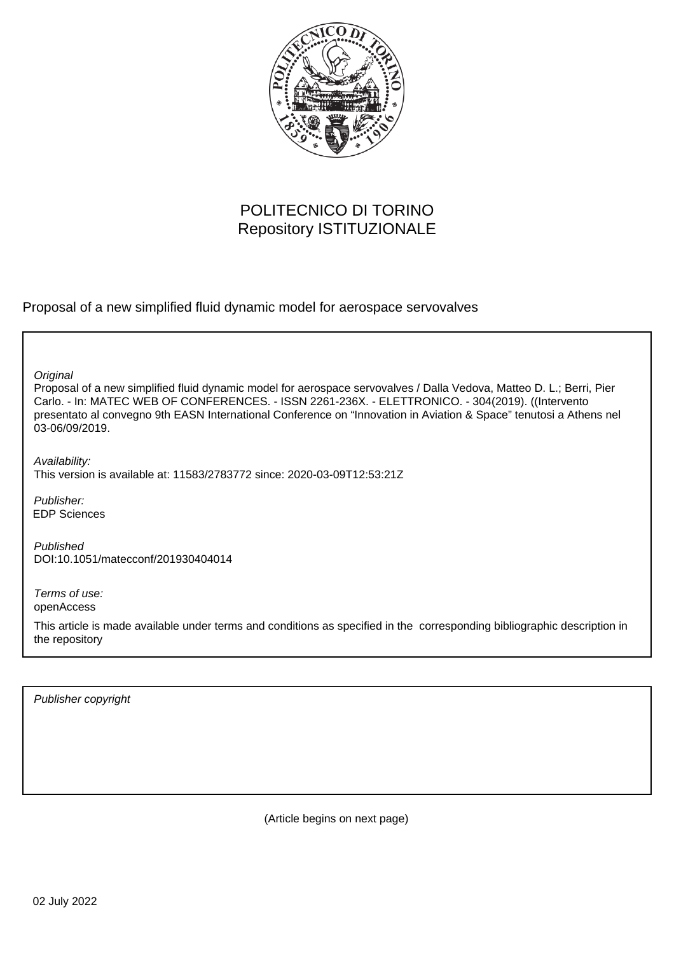

# POLITECNICO DI TORINO Repository ISTITUZIONALE

Proposal of a new simplified fluid dynamic model for aerospace servovalves

**Original** 

Proposal of a new simplified fluid dynamic model for aerospace servovalves / Dalla Vedova, Matteo D. L.; Berri, Pier Carlo. - In: MATEC WEB OF CONFERENCES. - ISSN 2261-236X. - ELETTRONICO. - 304(2019). ((Intervento presentato al convegno 9th EASN International Conference on "Innovation in Aviation & Space" tenutosi a Athens nel 03-06/09/2019.

Availability: This version is available at: 11583/2783772 since: 2020-03-09T12:53:21Z

Publisher: EDP Sciences

Published DOI:10.1051/matecconf/201930404014

Terms of use: openAccess

This article is made available under terms and conditions as specified in the corresponding bibliographic description in the repository

Publisher copyright

(Article begins on next page)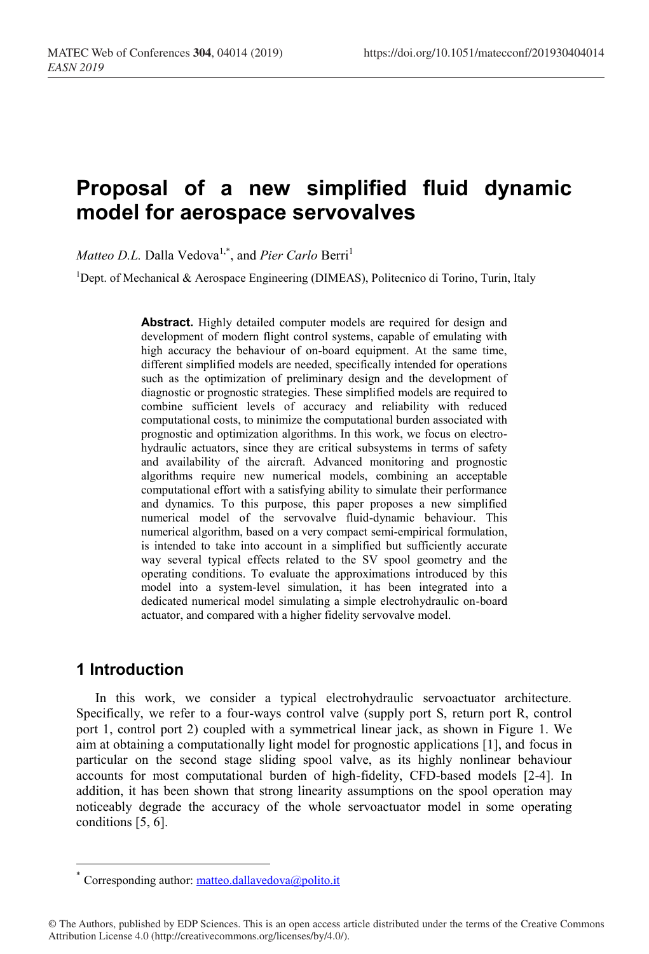# **Proposal of a new simplified fluid dynamic model for aerospace servovalves**

*Matteo D.L.* Dalla Vedova<sup>1,\*</sup>, and *Pier Carlo* Berri<sup>1</sup>

<sup>1</sup>Dept. of Mechanical & Aerospace Engineering (DIMEAS), Politecnico di Torino, Turin, Italy

**Abstract.** Highly detailed computer models are required for design and development of modern flight control systems, capable of emulating with high accuracy the behaviour of on-board equipment. At the same time, different simplified models are needed, specifically intended for operations such as the optimization of preliminary design and the development of diagnostic or prognostic strategies. These simplified models are required to combine sufficient levels of accuracy and reliability with reduced computational costs, to minimize the computational burden associated with prognostic and optimization algorithms. In this work, we focus on electrohydraulic actuators, since they are critical subsystems in terms of safety and availability of the aircraft. Advanced monitoring and prognostic algorithms require new numerical models, combining an acceptable computational effort with a satisfying ability to simulate their performance and dynamics. To this purpose, this paper proposes a new simplified numerical model of the servovalve fluid-dynamic behaviour. This numerical algorithm, based on a very compact semi-empirical formulation, is intended to take into account in a simplified but sufficiently accurate way several typical effects related to the SV spool geometry and the operating conditions. To evaluate the approximations introduced by this model into a system-level simulation, it has been integrated into a dedicated numerical model simulating a simple electrohydraulic on-board actuator, and compared with a higher fidelity servovalve model.

# **1 Introduction**

In this work, we consider a typical electrohydraulic servoactuator architecture. Specifically, we refer to a four-ways control valve (supply port S, return port R, control port 1, control port 2) coupled with a symmetrical linear jack, as shown in Figure 1. We aim at obtaining a computationally light model for prognostic applications [1], and focus in particular on the second stage sliding spool valve, as its highly nonlinear behaviour accounts for most computational burden of high-fidelity, CFD-based models [2-4]. In addition, it has been shown that strong linearity assumptions on the spool operation may noticeably degrade the accuracy of the whole servoactuator model in some operating conditions [5, 6].

<sup>\*</sup> Corresponding author: matteo.dallavedova@polito.it

<sup>©</sup> The Authors, published by EDP Sciences. This is an open access article distributed under the terms of the Creative Commons Attribution License 4.0 (http://creativecommons.org/licenses/by/4.0/).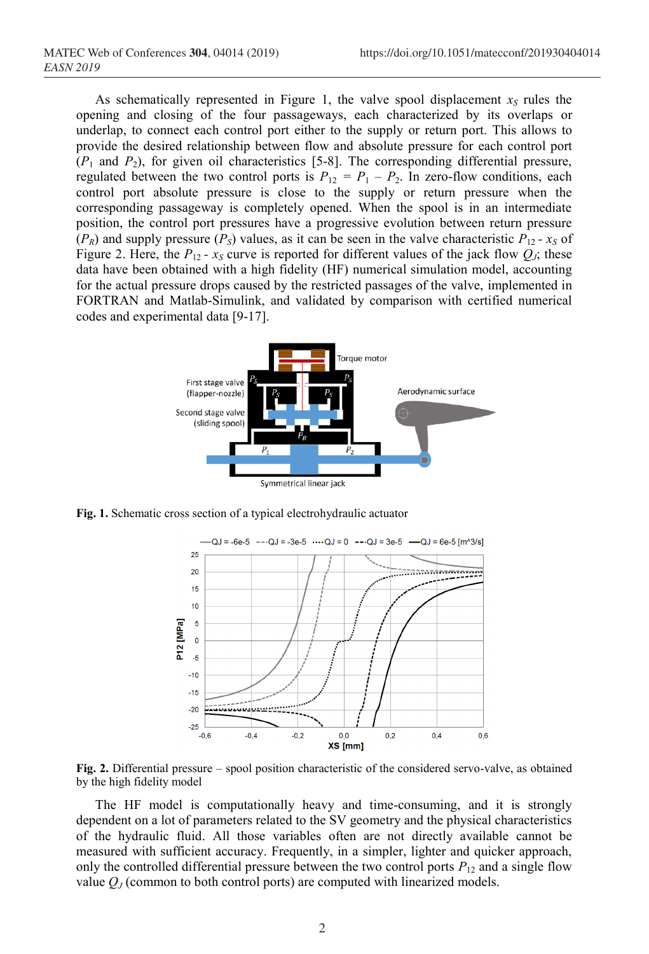As schematically represented in Figure 1, the valve spool displacement  $x<sub>S</sub>$  rules the opening and closing of the four passageways, each characterized by its overlaps or underlap, to connect each control port either to the supply or return port. This allows to provide the desired relationship between flow and absolute pressure for each control port  $(P_1$  and  $P_2$ ), for given oil characteristics [5-8]. The corresponding differential pressure, regulated between the two control ports is  $P_{12} = P_1 - P_2$ . In zero-flow conditions, each control port absolute pressure is close to the supply or return pressure when the corresponding passageway is completely opened. When the spool is in an intermediate position, the control port pressures have a progressive evolution between return pressure  $(P_R)$  and supply pressure  $(P_S)$  values, as it can be seen in the valve characteristic  $P_{12}$  *- x<sub>S</sub>* of Figure 2. Here, the  $P_{12}$  *-*  $x_S$  curve is reported for different values of the jack flow  $Q_J$ ; these data have been obtained with a high fidelity (HF) numerical simulation model, accounting for the actual pressure drops caused by the restricted passages of the valve, implemented in FORTRAN and Matlab-Simulink, and validated by comparison with certified numerical codes and experimental data [9-17].



**Fig. 1.** Schematic cross section of a typical electrohydraulic actuator



**Fig. 2.** Differential pressure – spool position characteristic of the considered servo-valve, as obtained by the high fidelity model

The HF model is computationally heavy and time-consuming, and it is strongly dependent on a lot of parameters related to the SV geometry and the physical characteristics of the hydraulic fluid. All those variables often are not directly available cannot be measured with sufficient accuracy. Frequently, in a simpler, lighter and quicker approach, only the controlled differential pressure between the two control ports  $P_{12}$  and a single flow value  $Q_J$  (common to both control ports) are computed with linearized models.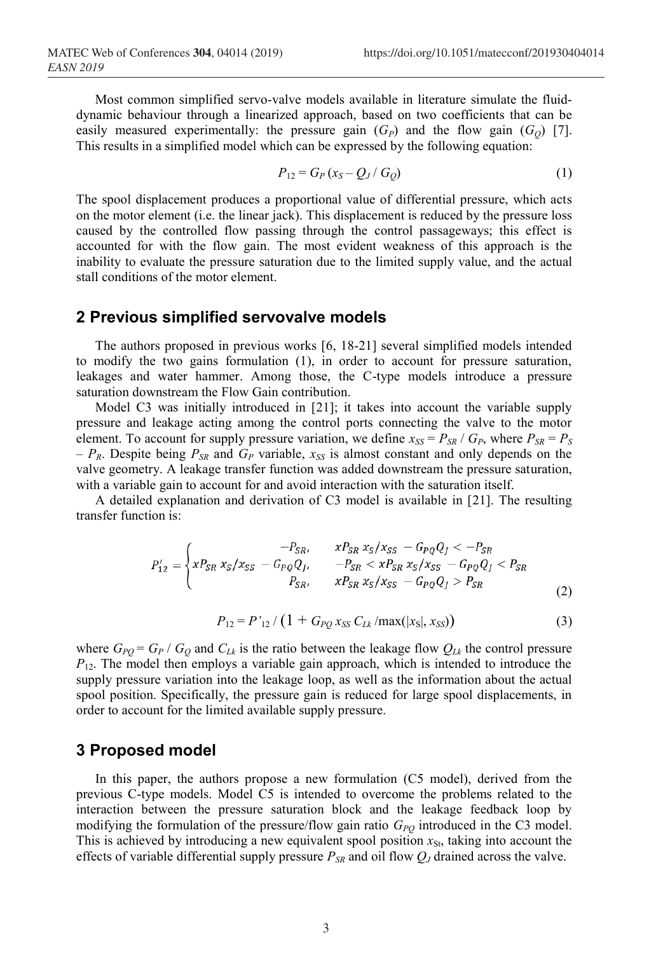Most common simplified servo-valve models available in literature simulate the fluiddynamic behaviour through a linearized approach, based on two coefficients that can be easily measured experimentally: the pressure gain  $(G_P)$  and the flow gain  $(G_Q)$  [7]. This results in a simplified model which can be expressed by the following equation:

$$
P_{12} = G_P (x_S - Q_J / G_Q) \tag{1}
$$

The spool displacement produces a proportional value of differential pressure, which acts on the motor element (i.e. the linear jack). This displacement is reduced by the pressure loss caused by the controlled flow passing through the control passageways; this effect is accounted for with the flow gain. The most evident weakness of this approach is the inability to evaluate the pressure saturation due to the limited supply value, and the actual stall conditions of the motor element.

#### **2 Previous simplified servovalve models**

The authors proposed in previous works [6, 18-21] several simplified models intended to modify the two gains formulation (1), in order to account for pressure saturation, leakages and water hammer. Among those, the C-type models introduce a pressure saturation downstream the Flow Gain contribution.

Model C3 was initially introduced in [21]; it takes into account the variable supply pressure and leakage acting among the control ports connecting the valve to the motor element. To account for supply pressure variation, we define  $x_{SS} = P_{SR}/G_P$ , where  $P_{SR} = P_S$  $-P_R$ . Despite being  $P_{SR}$  and  $G_P$  variable,  $x_{SS}$  is almost constant and only depends on the valve geometry. A leakage transfer function was added downstream the pressure saturation, with a variable gain to account for and avoid interaction with the saturation itself.

A detailed explanation and derivation of C3 model is available in [21]. The resulting transfer function is:

$$
P'_{12} = \begin{cases} -P_{SR}, & xP_{SR} x_S / x_{SS} - G_{PQ} Q_J < -P_{SR} \\ xP_{SR} x_S / x_{SS} - G_{PQ} Q_J, & -P_{SR} < xP_{SR} x_S / x_{SS} - G_{PQ} Q_J < P_{SR} \\ P_{SR}, & xP_{SR} x_S / x_{SS} - G_{PQ} Q_J > P_{SR} \end{cases}
$$
(2)

$$
P_{12} = P'_{12} / (1 + G_{PQ} x_{SS} C_{Lk} / \max(|x_{S}|, x_{SS}))
$$
\n(3)

where  $G_{PO} = G_P / G_Q$  and  $C_{Lk}$  is the ratio between the leakage flow  $Q_{Lk}$  the control pressure  $P_{12}$ . The model then employs a variable gain approach, which is intended to introduce the supply pressure variation into the leakage loop, as well as the information about the actual spool position. Specifically, the pressure gain is reduced for large spool displacements, in order to account for the limited available supply pressure.

#### **3 Proposed model**

In this paper, the authors propose a new formulation (C5 model), derived from the previous C-type models. Model C5 is intended to overcome the problems related to the interaction between the pressure saturation block and the leakage feedback loop by modifying the formulation of the pressure/flow gain ratio  $G_{PQ}$  introduced in the C3 model. This is achieved by introducing a new equivalent spool position  $x_{S_t}$ , taking into account the effects of variable differential supply pressure  $P_{SR}$  and oil flow  $Q_J$  drained across the valve.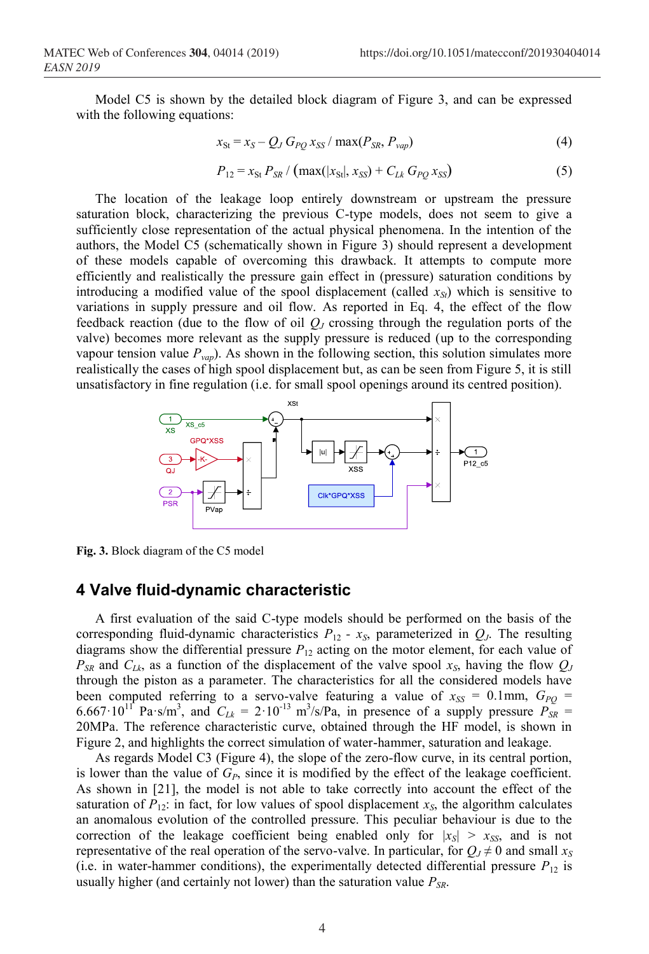Model C5 is shown by the detailed block diagram of Figure 3, and can be expressed with the following equations:

$$
x_{\rm St} = x_S - Q_J G_{PQ} x_{\rm SS} / \max(P_{SR}, P_{vap})
$$
\n(4)

$$
P_{12} = x_{\rm St} P_{SR} / ( \max(|x_{\rm St}|, x_{\rm SS}) + C_{Lk} G_{PQ} x_{\rm SS})
$$
 (5)

The location of the leakage loop entirely downstream or upstream the pressure saturation block, characterizing the previous C-type models, does not seem to give a sufficiently close representation of the actual physical phenomena. In the intention of the authors, the Model C5 (schematically shown in Figure 3) should represent a development of these models capable of overcoming this drawback. It attempts to compute more efficiently and realistically the pressure gain effect in (pressure) saturation conditions by introducing a modified value of the spool displacement (called  $x_{St}$ ) which is sensitive to variations in supply pressure and oil flow. As reported in Eq. 4, the effect of the flow feedback reaction (due to the flow of oil *QJ* crossing through the regulation ports of the valve) becomes more relevant as the supply pressure is reduced (up to the corresponding vapour tension value  $P_{vap}$ ). As shown in the following section, this solution simulates more realistically the cases of high spool displacement but, as can be seen from Figure 5, it is still unsatisfactory in fine regulation (i.e. for small spool openings around its centred position).



**Fig. 3.** Block diagram of the C5 model

#### **4 Valve fluid-dynamic characteristic**

A first evaluation of the said C-type models should be performed on the basis of the corresponding fluid-dynamic characteristics  $P_{12}$  -  $x_S$ , parameterized in  $Q_J$ . The resulting diagrams show the differential pressure  $P_{12}$  acting on the motor element, for each value of  $P_{SR}$  and  $C_{Lk}$ , as a function of the displacement of the valve spool  $x_S$ , having the flow  $Q_J$ through the piston as a parameter. The characteristics for all the considered models have been computed referring to a servo-valve featuring a value of  $x_{SS} = 0.1$ mm,  $G_{PQ} =$ 6.667.10<sup>11</sup> Pa·s/m<sup>3</sup>, and  $C_{Lk} = 2.10^{-13}$  m<sup>3</sup>/s/Pa, in presence of a supply pressure  $P_{SR} =$ 20MPa. The reference characteristic curve, obtained through the HF model, is shown in Figure 2, and highlights the correct simulation of water-hammer, saturation and leakage.

As regards Model C3 (Figure 4), the slope of the zero-flow curve, in its central portion, is lower than the value of  $G_p$ , since it is modified by the effect of the leakage coefficient. As shown in [21], the model is not able to take correctly into account the effect of the saturation of  $P_{12}$ : in fact, for low values of spool displacement  $x<sub>S</sub>$ , the algorithm calculates an anomalous evolution of the controlled pressure. This peculiar behaviour is due to the correction of the leakage coefficient being enabled only for  $|x_{s}| > x_{ss}$ , and is not representative of the real operation of the servo-valve. In particular, for  $Q_J \neq 0$  and small  $x_S$ (i.e. in water-hammer conditions), the experimentally detected differential pressure  $P_{12}$  is usually higher (and certainly not lower) than the saturation value  $P_{SR}$ .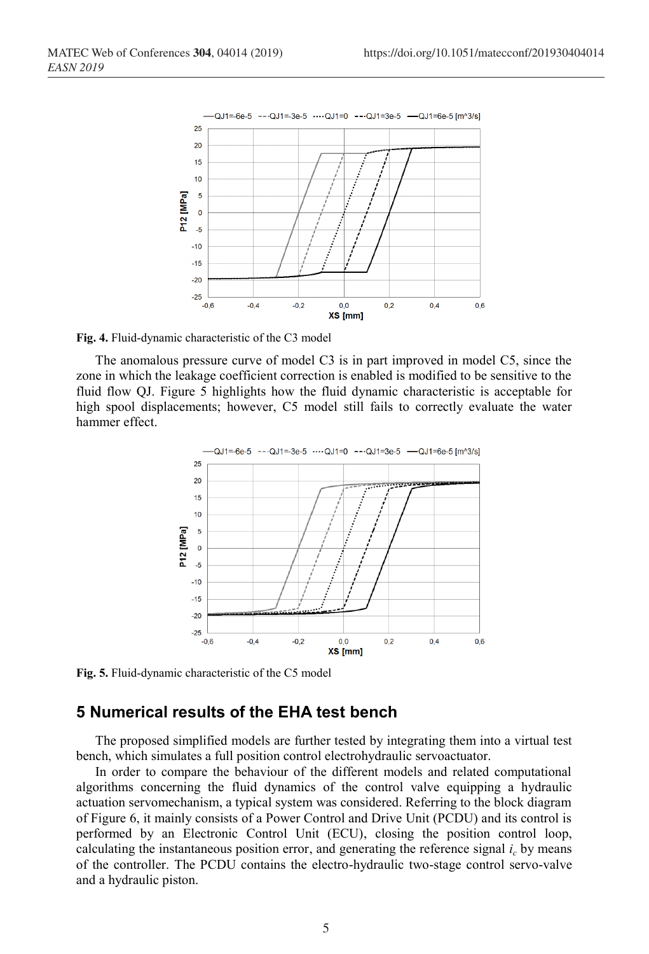

**Fig. 4.** Fluid-dynamic characteristic of the C3 model

The anomalous pressure curve of model C3 is in part improved in model C5, since the zone in which the leakage coefficient correction is enabled is modified to be sensitive to the fluid flow QJ. Figure 5 highlights how the fluid dynamic characteristic is acceptable for high spool displacements; however, C5 model still fails to correctly evaluate the water hammer effect.



**Fig. 5.** Fluid-dynamic characteristic of the C5 model

### **5 Numerical results of the EHA test bench**

The proposed simplified models are further tested by integrating them into a virtual test bench, which simulates a full position control electrohydraulic servoactuator.

In order to compare the behaviour of the different models and related computational algorithms concerning the fluid dynamics of the control valve equipping a hydraulic actuation servomechanism, a typical system was considered. Referring to the block diagram of Figure 6, it mainly consists of a Power Control and Drive Unit (PCDU) and its control is performed by an Electronic Control Unit (ECU), closing the position control loop, calculating the instantaneous position error, and generating the reference signal  $i<sub>c</sub>$  by means of the controller. The PCDU contains the electro-hydraulic two-stage control servo-valve and a hydraulic piston.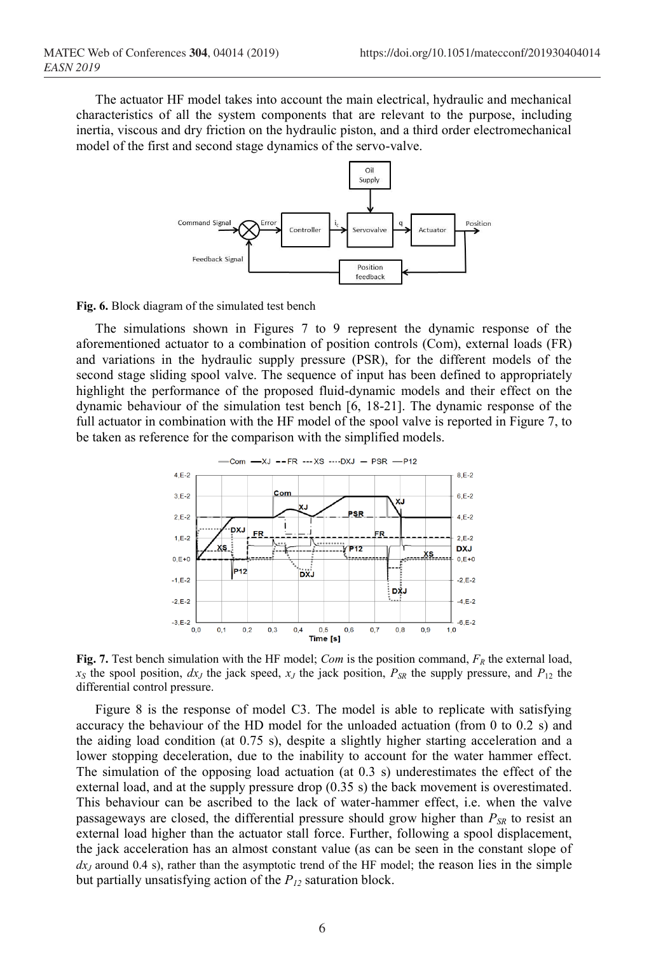The actuator HF model takes into account the main electrical, hydraulic and mechanical characteristics of all the system components that are relevant to the purpose, including inertia, viscous and dry friction on the hydraulic piston, and a third order electromechanical model of the first and second stage dynamics of the servo-valve.



**Fig. 6.** Block diagram of the simulated test bench

The simulations shown in Figures 7 to 9 represent the dynamic response of the aforementioned actuator to a combination of position controls (Com), external loads (FR) and variations in the hydraulic supply pressure (PSR), for the different models of the second stage sliding spool valve. The sequence of input has been defined to appropriately highlight the performance of the proposed fluid-dynamic models and their effect on the dynamic behaviour of the simulation test bench [6, 18-21]. The dynamic response of the full actuator in combination with the HF model of the spool valve is reported in Figure 7, to be taken as reference for the comparison with the simplified models.



**Fig. 7.** Test bench simulation with the HF model; *Com* is the position command,  $F_R$  the external load,  $x_S$  the spool position,  $dx_J$  the jack speed,  $x_J$  the jack position,  $P_{SR}$  the supply pressure, and  $P_{12}$  the differential control pressure.

Figure 8 is the response of model C3. The model is able to replicate with satisfying accuracy the behaviour of the HD model for the unloaded actuation (from 0 to 0.2 s) and the aiding load condition (at 0.75 s), despite a slightly higher starting acceleration and a lower stopping deceleration, due to the inability to account for the water hammer effect. The simulation of the opposing load actuation (at 0.3 s) underestimates the effect of the external load, and at the supply pressure drop (0.35 s) the back movement is overestimated. This behaviour can be ascribed to the lack of water-hammer effect, i.e. when the valve passageways are closed, the differential pressure should grow higher than  $P_{SR}$  to resist an external load higher than the actuator stall force. Further, following a spool displacement, the jack acceleration has an almost constant value (as can be seen in the constant slope of  $dx_J$  around 0.4 s), rather than the asymptotic trend of the HF model; the reason lies in the simple but partially unsatisfying action of the  $P_{12}$  saturation block.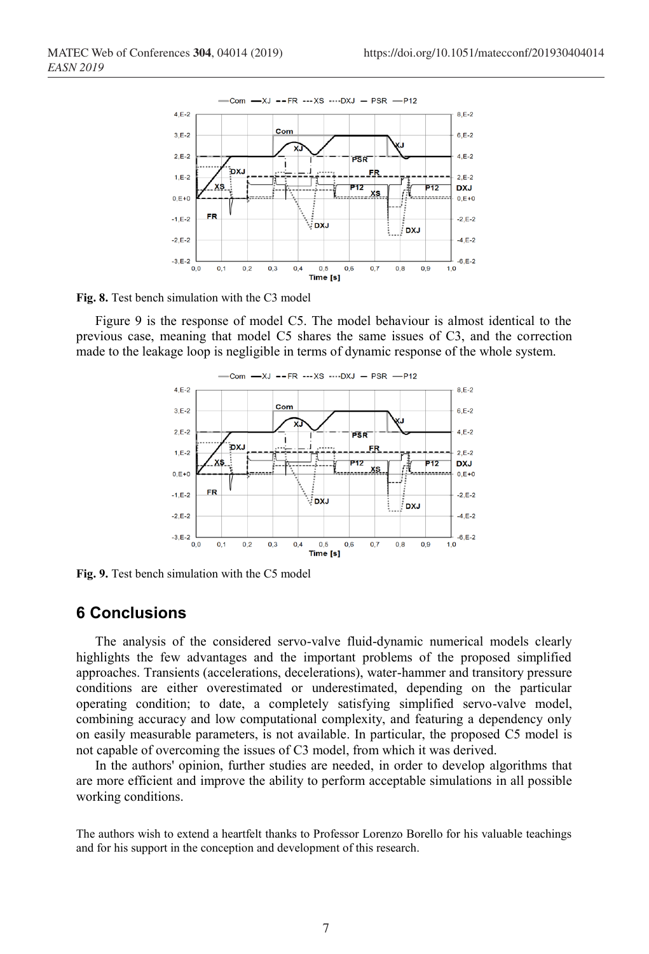

**Fig. 8.** Test bench simulation with the C3 model

Figure 9 is the response of model C5. The model behaviour is almost identical to the previous case, meaning that model C5 shares the same issues of C3, and the correction made to the leakage loop is negligible in terms of dynamic response of the whole system.



**Fig. 9.** Test bench simulation with the C5 model

## **6 Conclusions**

The analysis of the considered servo-valve fluid-dynamic numerical models clearly highlights the few advantages and the important problems of the proposed simplified approaches. Transients (accelerations, decelerations), water-hammer and transitory pressure conditions are either overestimated or underestimated, depending on the particular operating condition; to date, a completely satisfying simplified servo-valve model, combining accuracy and low computational complexity, and featuring a dependency only on easily measurable parameters, is not available. In particular, the proposed C5 model is not capable of overcoming the issues of C3 model, from which it was derived.

In the authors' opinion, further studies are needed, in order to develop algorithms that are more efficient and improve the ability to perform acceptable simulations in all possible working conditions.

The authors wish to extend a heartfelt thanks to Professor Lorenzo Borello for his valuable teachings and for his support in the conception and development of this research.